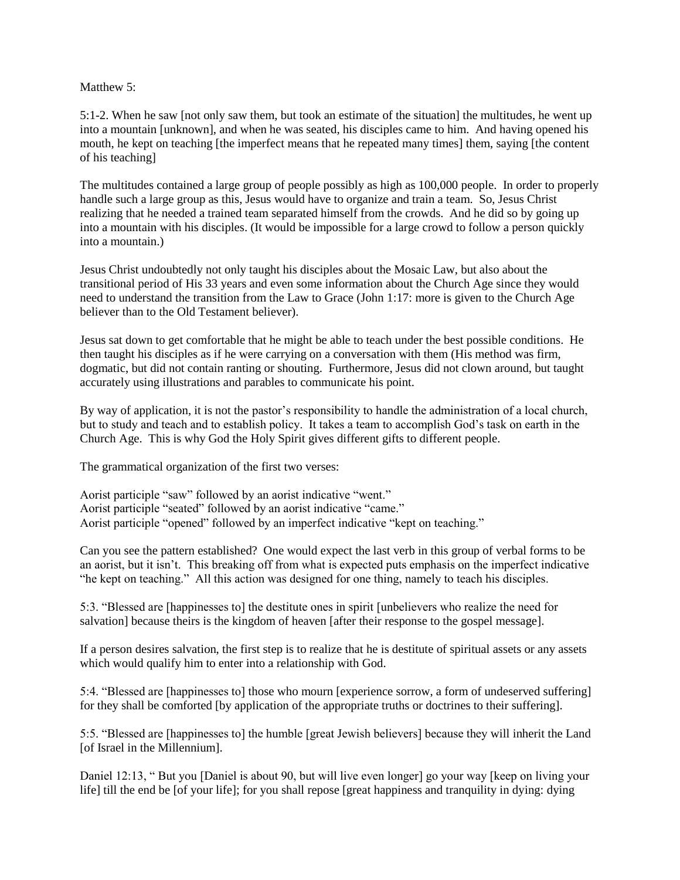## Matthew 5:

5:1-2. When he saw [not only saw them, but took an estimate of the situation] the multitudes, he went up into a mountain [unknown], and when he was seated, his disciples came to him. And having opened his mouth, he kept on teaching [the imperfect means that he repeated many times] them, saying [the content of his teaching]

The multitudes contained a large group of people possibly as high as 100,000 people. In order to properly handle such a large group as this, Jesus would have to organize and train a team. So, Jesus Christ realizing that he needed a trained team separated himself from the crowds. And he did so by going up into a mountain with his disciples. (It would be impossible for a large crowd to follow a person quickly into a mountain.)

Jesus Christ undoubtedly not only taught his disciples about the Mosaic Law, but also about the transitional period of His 33 years and even some information about the Church Age since they would need to understand the transition from the Law to Grace (John 1:17: more is given to the Church Age believer than to the Old Testament believer).

Jesus sat down to get comfortable that he might be able to teach under the best possible conditions. He then taught his disciples as if he were carrying on a conversation with them (His method was firm, dogmatic, but did not contain ranting or shouting. Furthermore, Jesus did not clown around, but taught accurately using illustrations and parables to communicate his point.

By way of application, it is not the pastor's responsibility to handle the administration of a local church, but to study and teach and to establish policy. It takes a team to accomplish God's task on earth in the Church Age. This is why God the Holy Spirit gives different gifts to different people.

The grammatical organization of the first two verses:

Aorist participle "saw" followed by an aorist indicative "went." Aorist participle "seated" followed by an aorist indicative "came." Aorist participle "opened" followed by an imperfect indicative "kept on teaching."

Can you see the pattern established? One would expect the last verb in this group of verbal forms to be an aorist, but it isn't. This breaking off from what is expected puts emphasis on the imperfect indicative "he kept on teaching." All this action was designed for one thing, namely to teach his disciples.

5:3. "Blessed are [happinesses to] the destitute ones in spirit [unbelievers who realize the need for salvation] because theirs is the kingdom of heaven [after their response to the gospel message].

If a person desires salvation, the first step is to realize that he is destitute of spiritual assets or any assets which would qualify him to enter into a relationship with God.

5:4. "Blessed are [happinesses to] those who mourn [experience sorrow, a form of undeserved suffering] for they shall be comforted [by application of the appropriate truths or doctrines to their suffering].

5:5. "Blessed are [happinesses to] the humble [great Jewish believers] because they will inherit the Land [of Israel in the Millennium].

Daniel 12:13, " But you [Daniel is about 90, but will live even longer] go your way [keep on living your life] till the end be [of your life]; for you shall repose [great happiness and tranquility in dying: dying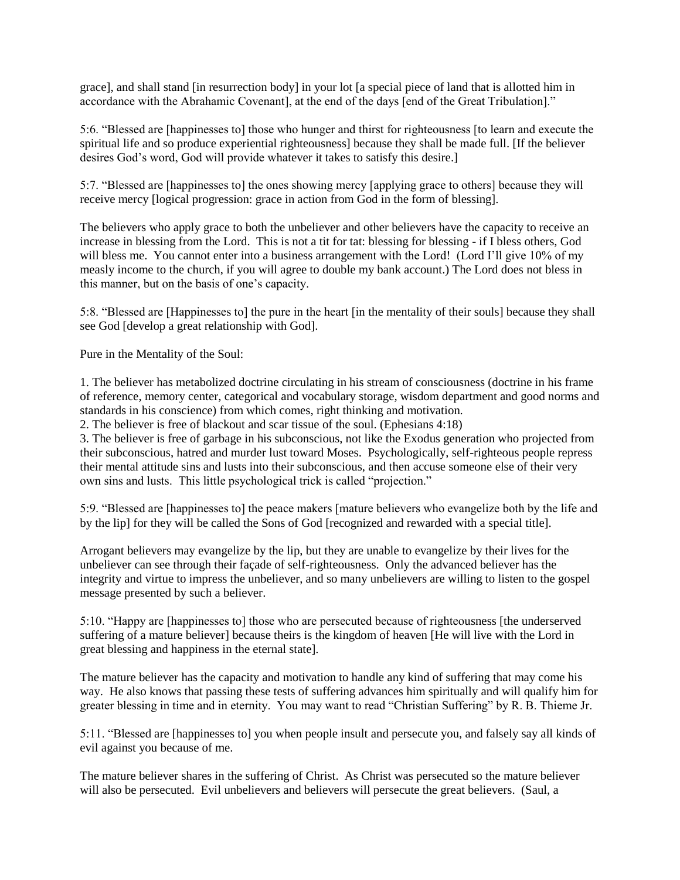grace], and shall stand [in resurrection body] in your lot [a special piece of land that is allotted him in accordance with the Abrahamic Covenant], at the end of the days [end of the Great Tribulation]."

5:6. "Blessed are [happinesses to] those who hunger and thirst for righteousness [to learn and execute the spiritual life and so produce experiential righteousness] because they shall be made full. [If the believer desires God's word, God will provide whatever it takes to satisfy this desire.]

5:7. "Blessed are [happinesses to] the ones showing mercy [applying grace to others] because they will receive mercy [logical progression: grace in action from God in the form of blessing].

The believers who apply grace to both the unbeliever and other believers have the capacity to receive an increase in blessing from the Lord. This is not a tit for tat: blessing for blessing - if I bless others, God will bless me. You cannot enter into a business arrangement with the Lord! (Lord I'll give 10% of my measly income to the church, if you will agree to double my bank account.) The Lord does not bless in this manner, but on the basis of one's capacity.

5:8. "Blessed are [Happinesses to] the pure in the heart [in the mentality of their souls] because they shall see God [develop a great relationship with God].

Pure in the Mentality of the Soul:

1. The believer has metabolized doctrine circulating in his stream of consciousness (doctrine in his frame of reference, memory center, categorical and vocabulary storage, wisdom department and good norms and standards in his conscience) from which comes, right thinking and motivation.

2. The believer is free of blackout and scar tissue of the soul. (Ephesians 4:18)

3. The believer is free of garbage in his subconscious, not like the Exodus generation who projected from their subconscious, hatred and murder lust toward Moses. Psychologically, self-righteous people repress their mental attitude sins and lusts into their subconscious, and then accuse someone else of their very own sins and lusts. This little psychological trick is called "projection."

5:9. "Blessed are [happinesses to] the peace makers [mature believers who evangelize both by the life and by the lip] for they will be called the Sons of God [recognized and rewarded with a special title].

Arrogant believers may evangelize by the lip, but they are unable to evangelize by their lives for the unbeliever can see through their façade of self-righteousness. Only the advanced believer has the integrity and virtue to impress the unbeliever, and so many unbelievers are willing to listen to the gospel message presented by such a believer.

5:10. "Happy are [happinesses to] those who are persecuted because of righteousness [the underserved suffering of a mature believer] because theirs is the kingdom of heaven [He will live with the Lord in great blessing and happiness in the eternal state].

The mature believer has the capacity and motivation to handle any kind of suffering that may come his way. He also knows that passing these tests of suffering advances him spiritually and will qualify him for greater blessing in time and in eternity. You may want to read "Christian Suffering" by R. B. Thieme Jr.

5:11. "Blessed are [happinesses to] you when people insult and persecute you, and falsely say all kinds of evil against you because of me.

The mature believer shares in the suffering of Christ. As Christ was persecuted so the mature believer will also be persecuted. Evil unbelievers and believers will persecute the great believers. (Saul, a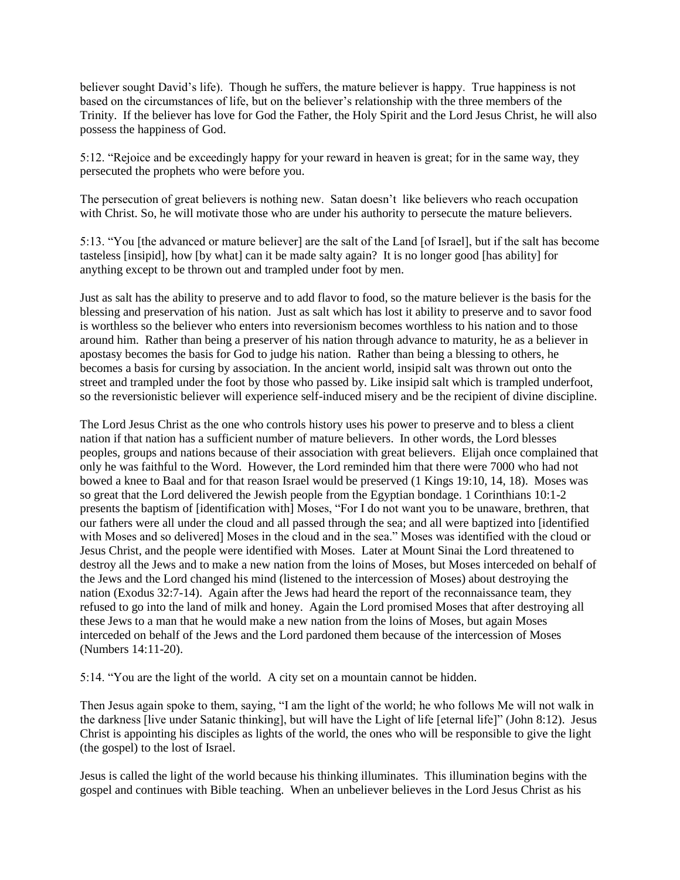believer sought David's life). Though he suffers, the mature believer is happy. True happiness is not based on the circumstances of life, but on the believer's relationship with the three members of the Trinity. If the believer has love for God the Father, the Holy Spirit and the Lord Jesus Christ, he will also possess the happiness of God.

5:12. "Rejoice and be exceedingly happy for your reward in heaven is great; for in the same way, they persecuted the prophets who were before you.

The persecution of great believers is nothing new. Satan doesn't like believers who reach occupation with Christ. So, he will motivate those who are under his authority to persecute the mature believers.

5:13. "You [the advanced or mature believer] are the salt of the Land [of Israel], but if the salt has become tasteless [insipid], how [by what] can it be made salty again? It is no longer good [has ability] for anything except to be thrown out and trampled under foot by men.

Just as salt has the ability to preserve and to add flavor to food, so the mature believer is the basis for the blessing and preservation of his nation. Just as salt which has lost it ability to preserve and to savor food is worthless so the believer who enters into reversionism becomes worthless to his nation and to those around him. Rather than being a preserver of his nation through advance to maturity, he as a believer in apostasy becomes the basis for God to judge his nation. Rather than being a blessing to others, he becomes a basis for cursing by association. In the ancient world, insipid salt was thrown out onto the street and trampled under the foot by those who passed by. Like insipid salt which is trampled underfoot, so the reversionistic believer will experience self-induced misery and be the recipient of divine discipline.

The Lord Jesus Christ as the one who controls history uses his power to preserve and to bless a client nation if that nation has a sufficient number of mature believers. In other words, the Lord blesses peoples, groups and nations because of their association with great believers. Elijah once complained that only he was faithful to the Word. However, the Lord reminded him that there were 7000 who had not bowed a knee to Baal and for that reason Israel would be preserved (1 Kings 19:10, 14, 18). Moses was so great that the Lord delivered the Jewish people from the Egyptian bondage. 1 Corinthians 10:1-2 presents the baptism of [identification with] Moses, "For I do not want you to be unaware, brethren, that our fathers were all under the cloud and all passed through the sea; and all were baptized into [identified with Moses and so delivered] Moses in the cloud and in the sea." Moses was identified with the cloud or Jesus Christ, and the people were identified with Moses. Later at Mount Sinai the Lord threatened to destroy all the Jews and to make a new nation from the loins of Moses, but Moses interceded on behalf of the Jews and the Lord changed his mind (listened to the intercession of Moses) about destroying the nation (Exodus 32:7-14). Again after the Jews had heard the report of the reconnaissance team, they refused to go into the land of milk and honey. Again the Lord promised Moses that after destroying all these Jews to a man that he would make a new nation from the loins of Moses, but again Moses interceded on behalf of the Jews and the Lord pardoned them because of the intercession of Moses (Numbers 14:11-20).

5:14. "You are the light of the world. A city set on a mountain cannot be hidden.

Then Jesus again spoke to them, saying, "I am the light of the world; he who follows Me will not walk in the darkness [live under Satanic thinking], but will have the Light of life [eternal life]" (John 8:12). Jesus Christ is appointing his disciples as lights of the world, the ones who will be responsible to give the light (the gospel) to the lost of Israel.

Jesus is called the light of the world because his thinking illuminates. This illumination begins with the gospel and continues with Bible teaching. When an unbeliever believes in the Lord Jesus Christ as his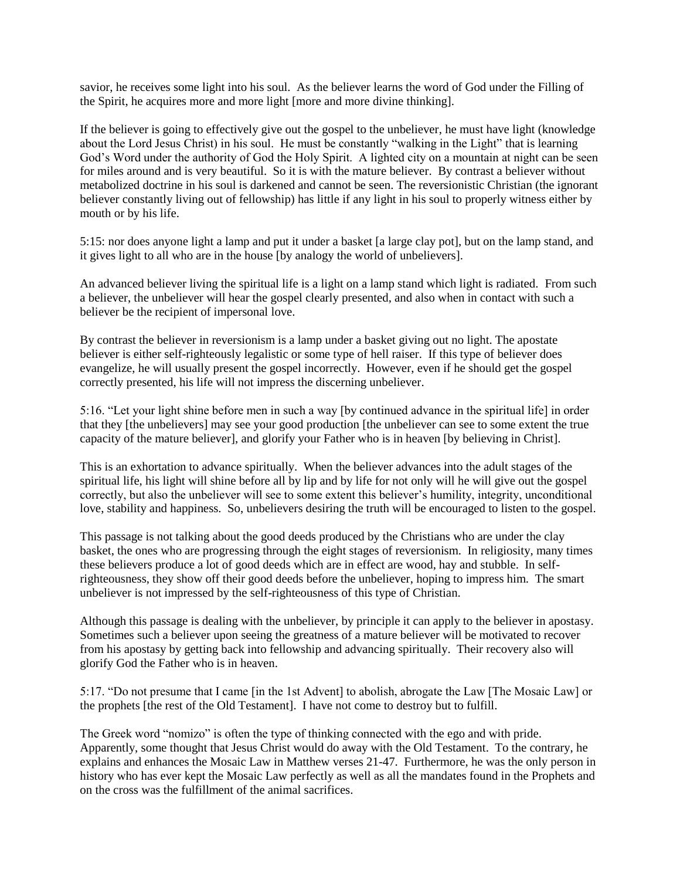savior, he receives some light into his soul. As the believer learns the word of God under the Filling of the Spirit, he acquires more and more light [more and more divine thinking].

If the believer is going to effectively give out the gospel to the unbeliever, he must have light (knowledge about the Lord Jesus Christ) in his soul. He must be constantly "walking in the Light" that is learning God's Word under the authority of God the Holy Spirit. A lighted city on a mountain at night can be seen for miles around and is very beautiful. So it is with the mature believer. By contrast a believer without metabolized doctrine in his soul is darkened and cannot be seen. The reversionistic Christian (the ignorant believer constantly living out of fellowship) has little if any light in his soul to properly witness either by mouth or by his life.

5:15: nor does anyone light a lamp and put it under a basket [a large clay pot], but on the lamp stand, and it gives light to all who are in the house [by analogy the world of unbelievers].

An advanced believer living the spiritual life is a light on a lamp stand which light is radiated. From such a believer, the unbeliever will hear the gospel clearly presented, and also when in contact with such a believer be the recipient of impersonal love.

By contrast the believer in reversionism is a lamp under a basket giving out no light. The apostate believer is either self-righteously legalistic or some type of hell raiser. If this type of believer does evangelize, he will usually present the gospel incorrectly. However, even if he should get the gospel correctly presented, his life will not impress the discerning unbeliever.

5:16. "Let your light shine before men in such a way [by continued advance in the spiritual life] in order that they [the unbelievers] may see your good production [the unbeliever can see to some extent the true capacity of the mature believer], and glorify your Father who is in heaven [by believing in Christ].

This is an exhortation to advance spiritually. When the believer advances into the adult stages of the spiritual life, his light will shine before all by lip and by life for not only will he will give out the gospel correctly, but also the unbeliever will see to some extent this believer's humility, integrity, unconditional love, stability and happiness. So, unbelievers desiring the truth will be encouraged to listen to the gospel.

This passage is not talking about the good deeds produced by the Christians who are under the clay basket, the ones who are progressing through the eight stages of reversionism. In religiosity, many times these believers produce a lot of good deeds which are in effect are wood, hay and stubble. In selfrighteousness, they show off their good deeds before the unbeliever, hoping to impress him. The smart unbeliever is not impressed by the self-righteousness of this type of Christian.

Although this passage is dealing with the unbeliever, by principle it can apply to the believer in apostasy. Sometimes such a believer upon seeing the greatness of a mature believer will be motivated to recover from his apostasy by getting back into fellowship and advancing spiritually. Their recovery also will glorify God the Father who is in heaven.

5:17. "Do not presume that I came [in the 1st Advent] to abolish, abrogate the Law [The Mosaic Law] or the prophets [the rest of the Old Testament]. I have not come to destroy but to fulfill.

The Greek word "nomizo" is often the type of thinking connected with the ego and with pride. Apparently, some thought that Jesus Christ would do away with the Old Testament. To the contrary, he explains and enhances the Mosaic Law in Matthew verses 21-47. Furthermore, he was the only person in history who has ever kept the Mosaic Law perfectly as well as all the mandates found in the Prophets and on the cross was the fulfillment of the animal sacrifices.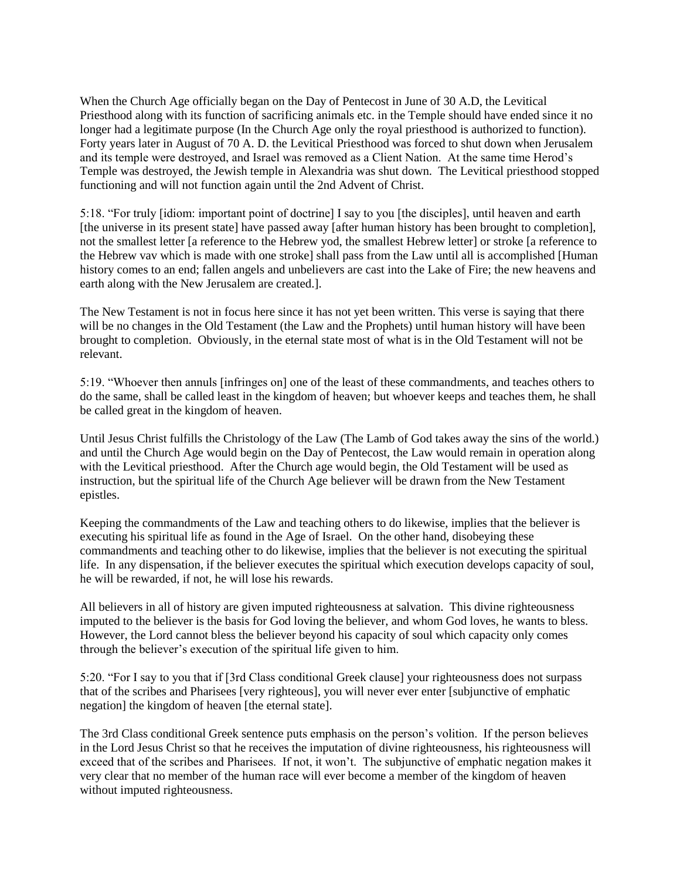When the Church Age officially began on the Day of Pentecost in June of 30 A.D, the Levitical Priesthood along with its function of sacrificing animals etc. in the Temple should have ended since it no longer had a legitimate purpose (In the Church Age only the royal priesthood is authorized to function). Forty years later in August of 70 A. D. the Levitical Priesthood was forced to shut down when Jerusalem and its temple were destroyed, and Israel was removed as a Client Nation. At the same time Herod's Temple was destroyed, the Jewish temple in Alexandria was shut down. The Levitical priesthood stopped functioning and will not function again until the 2nd Advent of Christ.

5:18. "For truly [idiom: important point of doctrine] I say to you [the disciples], until heaven and earth [the universe in its present state] have passed away [after human history has been brought to completion], not the smallest letter [a reference to the Hebrew yod, the smallest Hebrew letter] or stroke [a reference to the Hebrew vav which is made with one stroke] shall pass from the Law until all is accomplished [Human history comes to an end; fallen angels and unbelievers are cast into the Lake of Fire; the new heavens and earth along with the New Jerusalem are created.].

The New Testament is not in focus here since it has not yet been written. This verse is saying that there will be no changes in the Old Testament (the Law and the Prophets) until human history will have been brought to completion. Obviously, in the eternal state most of what is in the Old Testament will not be relevant.

5:19. "Whoever then annuls [infringes on] one of the least of these commandments, and teaches others to do the same, shall be called least in the kingdom of heaven; but whoever keeps and teaches them, he shall be called great in the kingdom of heaven.

Until Jesus Christ fulfills the Christology of the Law (The Lamb of God takes away the sins of the world.) and until the Church Age would begin on the Day of Pentecost, the Law would remain in operation along with the Levitical priesthood. After the Church age would begin, the Old Testament will be used as instruction, but the spiritual life of the Church Age believer will be drawn from the New Testament epistles.

Keeping the commandments of the Law and teaching others to do likewise, implies that the believer is executing his spiritual life as found in the Age of Israel. On the other hand, disobeying these commandments and teaching other to do likewise, implies that the believer is not executing the spiritual life. In any dispensation, if the believer executes the spiritual which execution develops capacity of soul, he will be rewarded, if not, he will lose his rewards.

All believers in all of history are given imputed righteousness at salvation. This divine righteousness imputed to the believer is the basis for God loving the believer, and whom God loves, he wants to bless. However, the Lord cannot bless the believer beyond his capacity of soul which capacity only comes through the believer's execution of the spiritual life given to him.

5:20. "For I say to you that if [3rd Class conditional Greek clause] your righteousness does not surpass that of the scribes and Pharisees [very righteous], you will never ever enter [subjunctive of emphatic negation] the kingdom of heaven [the eternal state].

The 3rd Class conditional Greek sentence puts emphasis on the person's volition. If the person believes in the Lord Jesus Christ so that he receives the imputation of divine righteousness, his righteousness will exceed that of the scribes and Pharisees. If not, it won't. The subjunctive of emphatic negation makes it very clear that no member of the human race will ever become a member of the kingdom of heaven without imputed righteousness.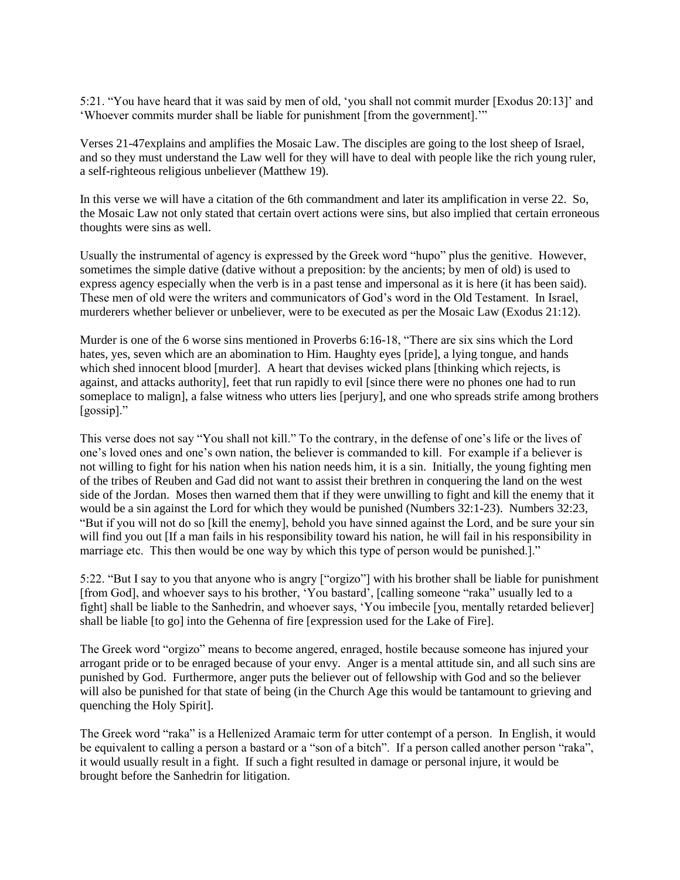5:21. "You have heard that it was said by men of old, 'you shall not commit murder [Exodus 20:13]' and 'Whoever commits murder shall be liable for punishment [from the government].'"

Verses 21-47explains and amplifies the Mosaic Law. The disciples are going to the lost sheep of Israel, and so they must understand the Law well for they will have to deal with people like the rich young ruler, a self-righteous religious unbeliever (Matthew 19).

In this verse we will have a citation of the 6th commandment and later its amplification in verse 22. So, the Mosaic Law not only stated that certain overt actions were sins, but also implied that certain erroneous thoughts were sins as well.

Usually the instrumental of agency is expressed by the Greek word "hupo" plus the genitive. However, sometimes the simple dative (dative without a preposition: by the ancients; by men of old) is used to express agency especially when the verb is in a past tense and impersonal as it is here (it has been said). These men of old were the writers and communicators of God's word in the Old Testament. In Israel, murderers whether believer or unbeliever, were to be executed as per the Mosaic Law (Exodus 21:12).

Murder is one of the 6 worse sins mentioned in Proverbs 6:16-18, "There are six sins which the Lord hates, yes, seven which are an abomination to Him. Haughty eyes [pride], a lying tongue, and hands which shed innocent blood [murder]. A heart that devises wicked plans [thinking which rejects, is against, and attacks authority], feet that run rapidly to evil [since there were no phones one had to run someplace to malign], a false witness who utters lies [perjury], and one who spreads strife among brothers [gossip]."

This verse does not say "You shall not kill." To the contrary, in the defense of one's life or the lives of one's loved ones and one's own nation, the believer is commanded to kill. For example if a believer is not willing to fight for his nation when his nation needs him, it is a sin. Initially, the young fighting men of the tribes of Reuben and Gad did not want to assist their brethren in conquering the land on the west side of the Jordan. Moses then warned them that if they were unwilling to fight and kill the enemy that it would be a sin against the Lord for which they would be punished (Numbers 32:1-23). Numbers 32:23, "But if you will not do so [kill the enemy], behold you have sinned against the Lord, and be sure your sin will find you out [If a man fails in his responsibility toward his nation, he will fail in his responsibility in marriage etc. This then would be one way by which this type of person would be punished.]."

5:22. "But I say to you that anyone who is angry ["orgizo"] with his brother shall be liable for punishment [from God], and whoever says to his brother, 'You bastard', [calling someone "raka" usually led to a fight] shall be liable to the Sanhedrin, and whoever says, 'You imbecile [you, mentally retarded believer] shall be liable [to go] into the Gehenna of fire [expression used for the Lake of Fire].

The Greek word "orgizo" means to become angered, enraged, hostile because someone has injured your arrogant pride or to be enraged because of your envy. Anger is a mental attitude sin, and all such sins are punished by God. Furthermore, anger puts the believer out of fellowship with God and so the believer will also be punished for that state of being (in the Church Age this would be tantamount to grieving and quenching the Holy Spirit].

The Greek word "raka" is a Hellenized Aramaic term for utter contempt of a person. In English, it would be equivalent to calling a person a bastard or a "son of a bitch". If a person called another person "raka", it would usually result in a fight. If such a fight resulted in damage or personal injure, it would be brought before the Sanhedrin for litigation.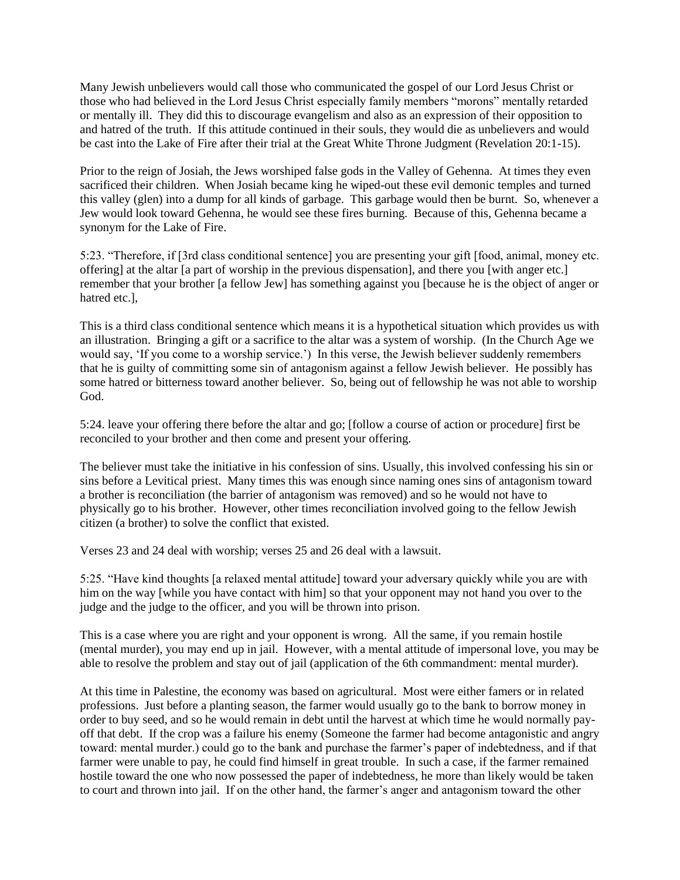Many Jewish unbelievers would call those who communicated the gospel of our Lord Jesus Christ or those who had believed in the Lord Jesus Christ especially family members "morons" mentally retarded or mentally ill. They did this to discourage evangelism and also as an expression of their opposition to and hatred of the truth. If this attitude continued in their souls, they would die as unbelievers and would be cast into the Lake of Fire after their trial at the Great White Throne Judgment (Revelation 20:1-15).

Prior to the reign of Josiah, the Jews worshiped false gods in the Valley of Gehenna. At times they even sacrificed their children. When Josiah became king he wiped-out these evil demonic temples and turned this valley (glen) into a dump for all kinds of garbage. This garbage would then be burnt. So, whenever a Jew would look toward Gehenna, he would see these fires burning. Because of this, Gehenna became a synonym for the Lake of Fire.

5:23. "Therefore, if [3rd class conditional sentence] you are presenting your gift [food, animal, money etc. offering] at the altar [a part of worship in the previous dispensation], and there you [with anger etc.] remember that your brother [a fellow Jew] has something against you [because he is the object of anger or hatred etc.],

This is a third class conditional sentence which means it is a hypothetical situation which provides us with an illustration. Bringing a gift or a sacrifice to the altar was a system of worship. (In the Church Age we would say, 'If you come to a worship service.') In this verse, the Jewish believer suddenly remembers that he is guilty of committing some sin of antagonism against a fellow Jewish believer. He possibly has some hatred or bitterness toward another believer. So, being out of fellowship he was not able to worship God.

5:24. leave your offering there before the altar and go; [follow a course of action or procedure] first be reconciled to your brother and then come and present your offering.

The believer must take the initiative in his confession of sins. Usually, this involved confessing his sin or sins before a Levitical priest. Many times this was enough since naming ones sins of antagonism toward a brother is reconciliation (the barrier of antagonism was removed) and so he would not have to physically go to his brother. However, other times reconciliation involved going to the fellow Jewish citizen (a brother) to solve the conflict that existed.

Verses 23 and 24 deal with worship; verses 25 and 26 deal with a lawsuit.

5:25. "Have kind thoughts [a relaxed mental attitude] toward your adversary quickly while you are with him on the way [while you have contact with him] so that your opponent may not hand you over to the judge and the judge to the officer, and you will be thrown into prison.

This is a case where you are right and your opponent is wrong. All the same, if you remain hostile (mental murder), you may end up in jail. However, with a mental attitude of impersonal love, you may be able to resolve the problem and stay out of jail (application of the 6th commandment: mental murder).

At this time in Palestine, the economy was based on agricultural. Most were either famers or in related professions. Just before a planting season, the farmer would usually go to the bank to borrow money in order to buy seed, and so he would remain in debt until the harvest at which time he would normally payoff that debt. If the crop was a failure his enemy (Someone the farmer had become antagonistic and angry toward: mental murder.) could go to the bank and purchase the farmer's paper of indebtedness, and if that farmer were unable to pay, he could find himself in great trouble. In such a case, if the farmer remained hostile toward the one who now possessed the paper of indebtedness, he more than likely would be taken to court and thrown into jail. If on the other hand, the farmer's anger and antagonism toward the other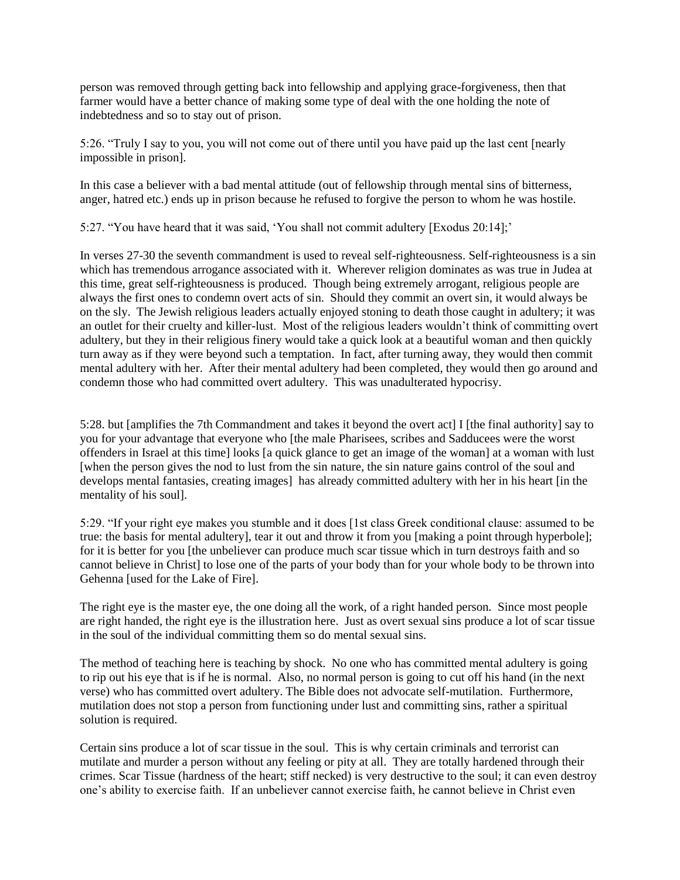person was removed through getting back into fellowship and applying grace-forgiveness, then that farmer would have a better chance of making some type of deal with the one holding the note of indebtedness and so to stay out of prison.

5:26. "Truly I say to you, you will not come out of there until you have paid up the last cent [nearly impossible in prison].

In this case a believer with a bad mental attitude (out of fellowship through mental sins of bitterness, anger, hatred etc.) ends up in prison because he refused to forgive the person to whom he was hostile.

5:27. "You have heard that it was said, 'You shall not commit adultery [Exodus 20:14];'

In verses 27-30 the seventh commandment is used to reveal self-righteousness. Self-righteousness is a sin which has tremendous arrogance associated with it. Wherever religion dominates as was true in Judea at this time, great self-righteousness is produced. Though being extremely arrogant, religious people are always the first ones to condemn overt acts of sin. Should they commit an overt sin, it would always be on the sly. The Jewish religious leaders actually enjoyed stoning to death those caught in adultery; it was an outlet for their cruelty and killer-lust. Most of the religious leaders wouldn't think of committing overt adultery, but they in their religious finery would take a quick look at a beautiful woman and then quickly turn away as if they were beyond such a temptation. In fact, after turning away, they would then commit mental adultery with her. After their mental adultery had been completed, they would then go around and condemn those who had committed overt adultery. This was unadulterated hypocrisy.

5:28. but [amplifies the 7th Commandment and takes it beyond the overt act] I [the final authority] say to you for your advantage that everyone who [the male Pharisees, scribes and Sadducees were the worst offenders in Israel at this time] looks [a quick glance to get an image of the woman] at a woman with lust [when the person gives the nod to lust from the sin nature, the sin nature gains control of the soul and develops mental fantasies, creating images] has already committed adultery with her in his heart [in the mentality of his soul].

5:29. "If your right eye makes you stumble and it does [1st class Greek conditional clause: assumed to be true: the basis for mental adultery], tear it out and throw it from you [making a point through hyperbole]; for it is better for you [the unbeliever can produce much scar tissue which in turn destroys faith and so cannot believe in Christ] to lose one of the parts of your body than for your whole body to be thrown into Gehenna [used for the Lake of Fire].

The right eye is the master eye, the one doing all the work, of a right handed person. Since most people are right handed, the right eye is the illustration here. Just as overt sexual sins produce a lot of scar tissue in the soul of the individual committing them so do mental sexual sins.

The method of teaching here is teaching by shock. No one who has committed mental adultery is going to rip out his eye that is if he is normal. Also, no normal person is going to cut off his hand (in the next verse) who has committed overt adultery. The Bible does not advocate self-mutilation. Furthermore, mutilation does not stop a person from functioning under lust and committing sins, rather a spiritual solution is required.

Certain sins produce a lot of scar tissue in the soul. This is why certain criminals and terrorist can mutilate and murder a person without any feeling or pity at all. They are totally hardened through their crimes. Scar Tissue (hardness of the heart; stiff necked) is very destructive to the soul; it can even destroy one's ability to exercise faith. If an unbeliever cannot exercise faith, he cannot believe in Christ even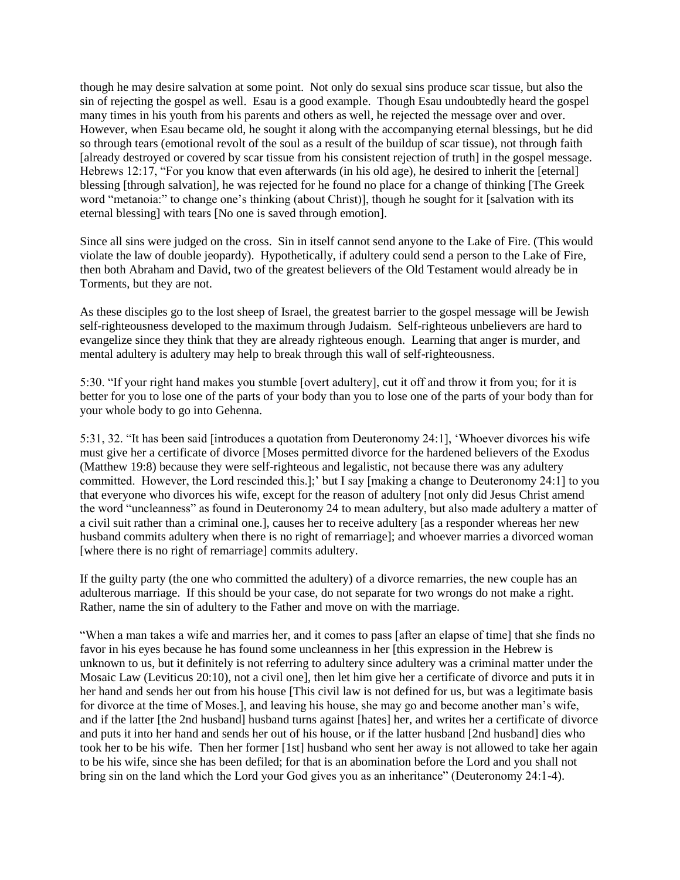though he may desire salvation at some point. Not only do sexual sins produce scar tissue, but also the sin of rejecting the gospel as well. Esau is a good example. Though Esau undoubtedly heard the gospel many times in his youth from his parents and others as well, he rejected the message over and over. However, when Esau became old, he sought it along with the accompanying eternal blessings, but he did so through tears (emotional revolt of the soul as a result of the buildup of scar tissue), not through faith [already destroyed or covered by scar tissue from his consistent rejection of truth] in the gospel message. Hebrews 12:17, "For you know that even afterwards (in his old age), he desired to inherit the [eternal] blessing [through salvation], he was rejected for he found no place for a change of thinking [The Greek word "metanoia:" to change one's thinking (about Christ)], though he sought for it [salvation with its eternal blessing] with tears [No one is saved through emotion].

Since all sins were judged on the cross. Sin in itself cannot send anyone to the Lake of Fire. (This would violate the law of double jeopardy). Hypothetically, if adultery could send a person to the Lake of Fire, then both Abraham and David, two of the greatest believers of the Old Testament would already be in Torments, but they are not.

As these disciples go to the lost sheep of Israel, the greatest barrier to the gospel message will be Jewish self-righteousness developed to the maximum through Judaism. Self-righteous unbelievers are hard to evangelize since they think that they are already righteous enough. Learning that anger is murder, and mental adultery is adultery may help to break through this wall of self-righteousness.

5:30. "If your right hand makes you stumble [overt adultery], cut it off and throw it from you; for it is better for you to lose one of the parts of your body than you to lose one of the parts of your body than for your whole body to go into Gehenna.

5:31, 32. "It has been said [introduces a quotation from Deuteronomy 24:1], 'Whoever divorces his wife must give her a certificate of divorce [Moses permitted divorce for the hardened believers of the Exodus (Matthew 19:8) because they were self-righteous and legalistic, not because there was any adultery committed. However, the Lord rescinded this.];' but I say [making a change to Deuteronomy 24:1] to you that everyone who divorces his wife, except for the reason of adultery [not only did Jesus Christ amend the word "uncleanness" as found in Deuteronomy 24 to mean adultery, but also made adultery a matter of a civil suit rather than a criminal one.], causes her to receive adultery [as a responder whereas her new husband commits adultery when there is no right of remarriage]; and whoever marries a divorced woman [where there is no right of remarriage] commits adultery.

If the guilty party (the one who committed the adultery) of a divorce remarries, the new couple has an adulterous marriage. If this should be your case, do not separate for two wrongs do not make a right. Rather, name the sin of adultery to the Father and move on with the marriage.

"When a man takes a wife and marries her, and it comes to pass [after an elapse of time] that she finds no favor in his eyes because he has found some uncleanness in her [this expression in the Hebrew is unknown to us, but it definitely is not referring to adultery since adultery was a criminal matter under the Mosaic Law (Leviticus 20:10), not a civil one], then let him give her a certificate of divorce and puts it in her hand and sends her out from his house [This civil law is not defined for us, but was a legitimate basis for divorce at the time of Moses.], and leaving his house, she may go and become another man's wife, and if the latter [the 2nd husband] husband turns against [hates] her, and writes her a certificate of divorce and puts it into her hand and sends her out of his house, or if the latter husband [2nd husband] dies who took her to be his wife. Then her former [1st] husband who sent her away is not allowed to take her again to be his wife, since she has been defiled; for that is an abomination before the Lord and you shall not bring sin on the land which the Lord your God gives you as an inheritance" (Deuteronomy 24:1-4).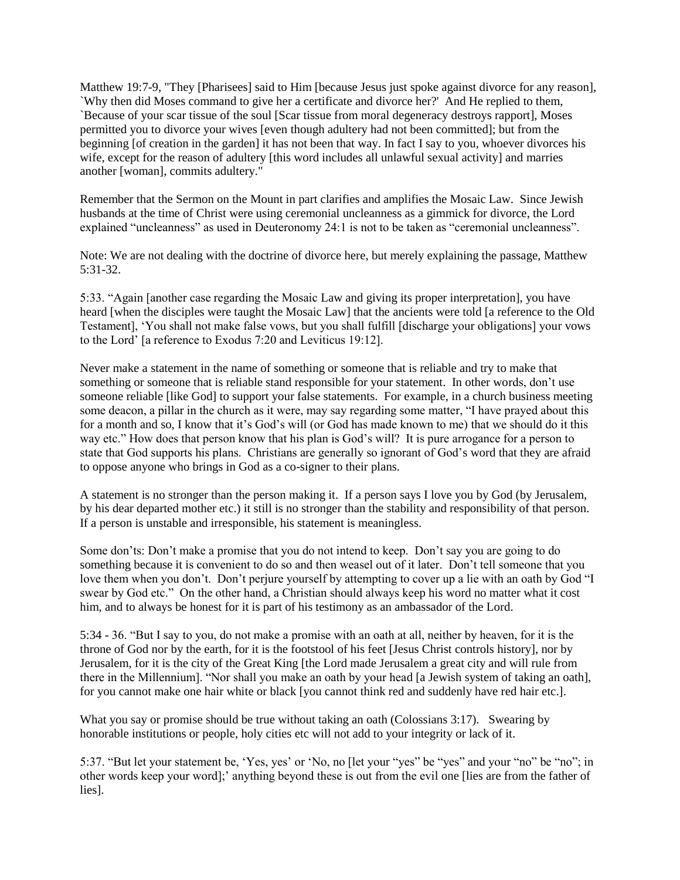Matthew 19:7-9, "They [Pharisees] said to Him [because Jesus just spoke against divorce for any reason], `Why then did Moses command to give her a certificate and divorce her?' And He replied to them, `Because of your scar tissue of the soul [Scar tissue from moral degeneracy destroys rapport], Moses permitted you to divorce your wives [even though adultery had not been committed]; but from the beginning [of creation in the garden] it has not been that way. In fact I say to you, whoever divorces his wife, except for the reason of adultery [this word includes all unlawful sexual activity] and marries another [woman], commits adultery."

Remember that the Sermon on the Mount in part clarifies and amplifies the Mosaic Law. Since Jewish husbands at the time of Christ were using ceremonial uncleanness as a gimmick for divorce, the Lord explained "uncleanness" as used in Deuteronomy 24:1 is not to be taken as "ceremonial uncleanness".

Note: We are not dealing with the doctrine of divorce here, but merely explaining the passage, Matthew 5:31-32.

5:33. "Again [another case regarding the Mosaic Law and giving its proper interpretation], you have heard [when the disciples were taught the Mosaic Law] that the ancients were told [a reference to the Old Testament], 'You shall not make false vows, but you shall fulfill [discharge your obligations] your vows to the Lord' [a reference to Exodus 7:20 and Leviticus 19:12].

Never make a statement in the name of something or someone that is reliable and try to make that something or someone that is reliable stand responsible for your statement. In other words, don't use someone reliable [like God] to support your false statements. For example, in a church business meeting some deacon, a pillar in the church as it were, may say regarding some matter, "I have prayed about this for a month and so, I know that it's God's will (or God has made known to me) that we should do it this way etc." How does that person know that his plan is God's will? It is pure arrogance for a person to state that God supports his plans. Christians are generally so ignorant of God's word that they are afraid to oppose anyone who brings in God as a co-signer to their plans.

A statement is no stronger than the person making it. If a person says I love you by God (by Jerusalem, by his dear departed mother etc.) it still is no stronger than the stability and responsibility of that person. If a person is unstable and irresponsible, his statement is meaningless.

Some don'ts: Don't make a promise that you do not intend to keep. Don't say you are going to do something because it is convenient to do so and then weasel out of it later. Don't tell someone that you love them when you don't. Don't perjure yourself by attempting to cover up a lie with an oath by God "I swear by God etc." On the other hand, a Christian should always keep his word no matter what it cost him, and to always be honest for it is part of his testimony as an ambassador of the Lord.

5:34 - 36. "But I say to you, do not make a promise with an oath at all, neither by heaven, for it is the throne of God nor by the earth, for it is the footstool of his feet [Jesus Christ controls history], nor by Jerusalem, for it is the city of the Great King [the Lord made Jerusalem a great city and will rule from there in the Millennium]. "Nor shall you make an oath by your head [a Jewish system of taking an oath], for you cannot make one hair white or black [you cannot think red and suddenly have red hair etc.].

What you say or promise should be true without taking an oath (Colossians 3:17). Swearing by honorable institutions or people, holy cities etc will not add to your integrity or lack of it.

5:37. "But let your statement be, 'Yes, yes' or 'No, no [let your "yes" be "yes" and your "no" be "no"; in other words keep your word];' anything beyond these is out from the evil one [lies are from the father of lies].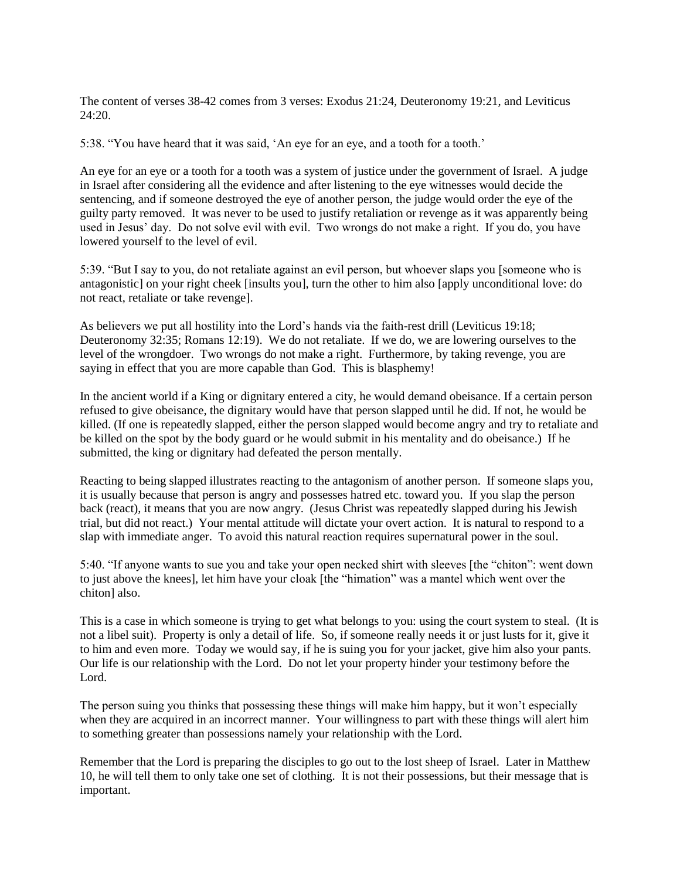The content of verses 38-42 comes from 3 verses: Exodus 21:24, Deuteronomy 19:21, and Leviticus 24:20.

5:38. "You have heard that it was said, 'An eye for an eye, and a tooth for a tooth.'

An eye for an eye or a tooth for a tooth was a system of justice under the government of Israel. A judge in Israel after considering all the evidence and after listening to the eye witnesses would decide the sentencing, and if someone destroyed the eye of another person, the judge would order the eye of the guilty party removed. It was never to be used to justify retaliation or revenge as it was apparently being used in Jesus' day. Do not solve evil with evil. Two wrongs do not make a right. If you do, you have lowered yourself to the level of evil.

5:39. "But I say to you, do not retaliate against an evil person, but whoever slaps you [someone who is antagonistic] on your right cheek [insults you], turn the other to him also [apply unconditional love: do not react, retaliate or take revenge].

As believers we put all hostility into the Lord's hands via the faith-rest drill (Leviticus 19:18; Deuteronomy 32:35; Romans 12:19). We do not retaliate. If we do, we are lowering ourselves to the level of the wrongdoer. Two wrongs do not make a right. Furthermore, by taking revenge, you are saying in effect that you are more capable than God. This is blasphemy!

In the ancient world if a King or dignitary entered a city, he would demand obeisance. If a certain person refused to give obeisance, the dignitary would have that person slapped until he did. If not, he would be killed. (If one is repeatedly slapped, either the person slapped would become angry and try to retaliate and be killed on the spot by the body guard or he would submit in his mentality and do obeisance.) If he submitted, the king or dignitary had defeated the person mentally.

Reacting to being slapped illustrates reacting to the antagonism of another person. If someone slaps you, it is usually because that person is angry and possesses hatred etc. toward you. If you slap the person back (react), it means that you are now angry. (Jesus Christ was repeatedly slapped during his Jewish trial, but did not react.) Your mental attitude will dictate your overt action. It is natural to respond to a slap with immediate anger. To avoid this natural reaction requires supernatural power in the soul.

5:40. "If anyone wants to sue you and take your open necked shirt with sleeves [the "chiton": went down to just above the knees], let him have your cloak [the "himation" was a mantel which went over the chiton] also.

This is a case in which someone is trying to get what belongs to you: using the court system to steal. (It is not a libel suit). Property is only a detail of life. So, if someone really needs it or just lusts for it, give it to him and even more. Today we would say, if he is suing you for your jacket, give him also your pants. Our life is our relationship with the Lord. Do not let your property hinder your testimony before the Lord.

The person suing you thinks that possessing these things will make him happy, but it won't especially when they are acquired in an incorrect manner. Your willingness to part with these things will alert him to something greater than possessions namely your relationship with the Lord.

Remember that the Lord is preparing the disciples to go out to the lost sheep of Israel. Later in Matthew 10, he will tell them to only take one set of clothing. It is not their possessions, but their message that is important.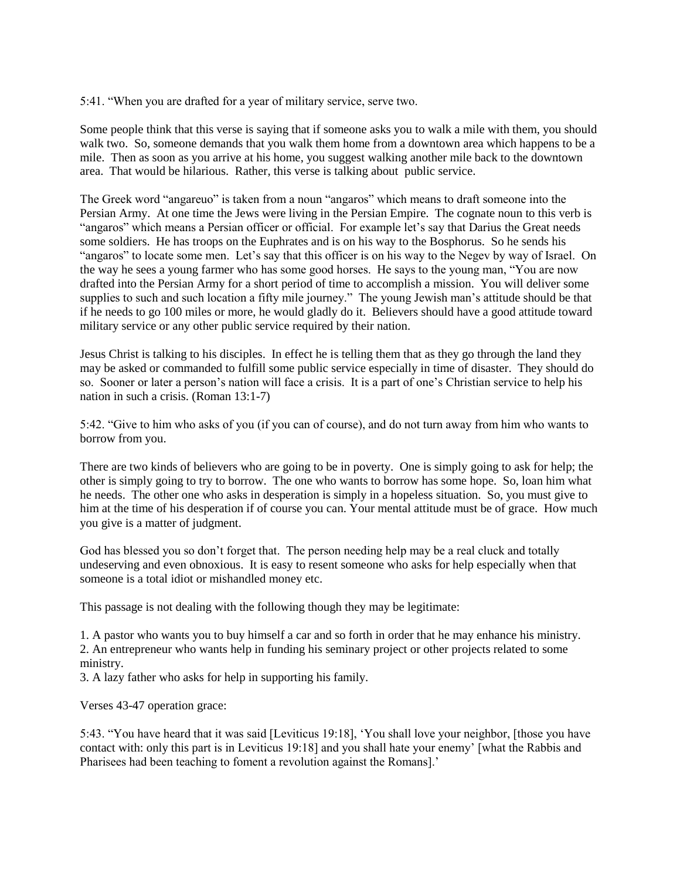5:41. "When you are drafted for a year of military service, serve two.

Some people think that this verse is saying that if someone asks you to walk a mile with them, you should walk two. So, someone demands that you walk them home from a downtown area which happens to be a mile. Then as soon as you arrive at his home, you suggest walking another mile back to the downtown area. That would be hilarious. Rather, this verse is talking about public service.

The Greek word "angareuo" is taken from a noun "angaros" which means to draft someone into the Persian Army. At one time the Jews were living in the Persian Empire. The cognate noun to this verb is "angaros" which means a Persian officer or official. For example let's say that Darius the Great needs some soldiers. He has troops on the Euphrates and is on his way to the Bosphorus. So he sends his "angaros" to locate some men. Let's say that this officer is on his way to the Negev by way of Israel. On the way he sees a young farmer who has some good horses. He says to the young man, "You are now drafted into the Persian Army for a short period of time to accomplish a mission. You will deliver some supplies to such and such location a fifty mile journey." The young Jewish man's attitude should be that if he needs to go 100 miles or more, he would gladly do it. Believers should have a good attitude toward military service or any other public service required by their nation.

Jesus Christ is talking to his disciples. In effect he is telling them that as they go through the land they may be asked or commanded to fulfill some public service especially in time of disaster. They should do so. Sooner or later a person's nation will face a crisis. It is a part of one's Christian service to help his nation in such a crisis. (Roman 13:1-7)

5:42. "Give to him who asks of you (if you can of course), and do not turn away from him who wants to borrow from you.

There are two kinds of believers who are going to be in poverty. One is simply going to ask for help; the other is simply going to try to borrow. The one who wants to borrow has some hope. So, loan him what he needs. The other one who asks in desperation is simply in a hopeless situation. So, you must give to him at the time of his desperation if of course you can. Your mental attitude must be of grace. How much you give is a matter of judgment.

God has blessed you so don't forget that. The person needing help may be a real cluck and totally undeserving and even obnoxious. It is easy to resent someone who asks for help especially when that someone is a total idiot or mishandled money etc.

This passage is not dealing with the following though they may be legitimate:

1. A pastor who wants you to buy himself a car and so forth in order that he may enhance his ministry. 2. An entrepreneur who wants help in funding his seminary project or other projects related to some ministry.

3. A lazy father who asks for help in supporting his family.

Verses 43-47 operation grace:

5:43. "You have heard that it was said [Leviticus 19:18], 'You shall love your neighbor, [those you have contact with: only this part is in Leviticus 19:18] and you shall hate your enemy' [what the Rabbis and Pharisees had been teaching to foment a revolution against the Romans].'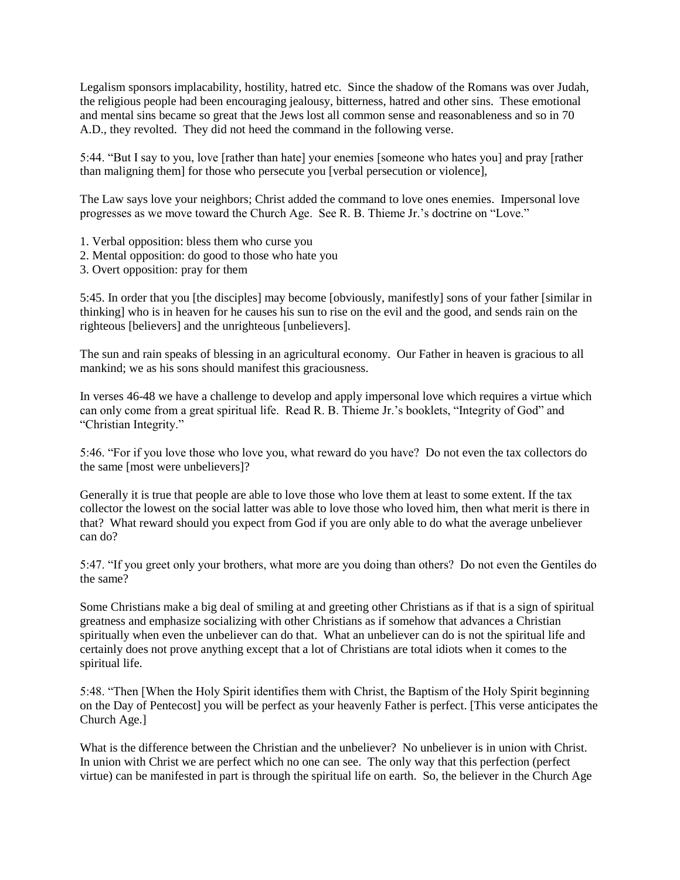Legalism sponsors implacability, hostility, hatred etc. Since the shadow of the Romans was over Judah, the religious people had been encouraging jealousy, bitterness, hatred and other sins. These emotional and mental sins became so great that the Jews lost all common sense and reasonableness and so in 70 A.D., they revolted. They did not heed the command in the following verse.

5:44. "But I say to you, love [rather than hate] your enemies [someone who hates you] and pray [rather than maligning them] for those who persecute you [verbal persecution or violence],

The Law says love your neighbors; Christ added the command to love ones enemies. Impersonal love progresses as we move toward the Church Age. See R. B. Thieme Jr.'s doctrine on "Love."

- 1. Verbal opposition: bless them who curse you
- 2. Mental opposition: do good to those who hate you
- 3. Overt opposition: pray for them

5:45. In order that you [the disciples] may become [obviously, manifestly] sons of your father [similar in thinking] who is in heaven for he causes his sun to rise on the evil and the good, and sends rain on the righteous [believers] and the unrighteous [unbelievers].

The sun and rain speaks of blessing in an agricultural economy. Our Father in heaven is gracious to all mankind; we as his sons should manifest this graciousness.

In verses 46-48 we have a challenge to develop and apply impersonal love which requires a virtue which can only come from a great spiritual life. Read R. B. Thieme Jr.'s booklets, "Integrity of God" and "Christian Integrity."

5:46. "For if you love those who love you, what reward do you have? Do not even the tax collectors do the same [most were unbelievers]?

Generally it is true that people are able to love those who love them at least to some extent. If the tax collector the lowest on the social latter was able to love those who loved him, then what merit is there in that? What reward should you expect from God if you are only able to do what the average unbeliever can do?

5:47. "If you greet only your brothers, what more are you doing than others? Do not even the Gentiles do the same?

Some Christians make a big deal of smiling at and greeting other Christians as if that is a sign of spiritual greatness and emphasize socializing with other Christians as if somehow that advances a Christian spiritually when even the unbeliever can do that. What an unbeliever can do is not the spiritual life and certainly does not prove anything except that a lot of Christians are total idiots when it comes to the spiritual life.

5:48. "Then [When the Holy Spirit identifies them with Christ, the Baptism of the Holy Spirit beginning on the Day of Pentecost] you will be perfect as your heavenly Father is perfect. [This verse anticipates the Church Age.]

What is the difference between the Christian and the unbeliever? No unbeliever is in union with Christ. In union with Christ we are perfect which no one can see. The only way that this perfection (perfect virtue) can be manifested in part is through the spiritual life on earth. So, the believer in the Church Age